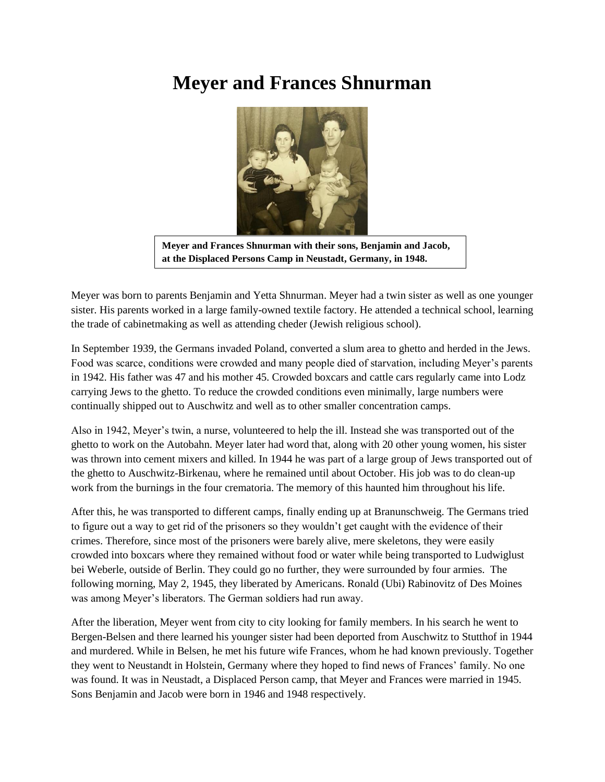## **Meyer and Frances Shnurman**



**Meyer and Frances Shnurman with their sons, Benjamin and Jacob, at the Displaced Persons Camp in Neustadt, Germany, in 1948.**

Meyer was born to parents Benjamin and Yetta Shnurman. Meyer had a twin sister as well as one younger sister. His parents worked in a large family-owned textile factory. He attended a technical school, learning the trade of cabinetmaking as well as attending cheder (Jewish religious school).

In September 1939, the Germans invaded Poland, converted a slum area to ghetto and herded in the Jews. Food was scarce, conditions were crowded and many people died of starvation, including Meyer's parents in 1942. His father was 47 and his mother 45. Crowded boxcars and cattle cars regularly came into Lodz carrying Jews to the ghetto. To reduce the crowded conditions even minimally, large numbers were continually shipped out to Auschwitz and well as to other smaller concentration camps.

Also in 1942, Meyer's twin, a nurse, volunteered to help the ill. Instead she was transported out of the ghetto to work on the Autobahn. Meyer later had word that, along with 20 other young women, his sister was thrown into cement mixers and killed. In 1944 he was part of a large group of Jews transported out of the ghetto to Auschwitz-Birkenau, where he remained until about October. His job was to do clean-up work from the burnings in the four crematoria. The memory of this haunted him throughout his life.

After this, he was transported to different camps, finally ending up at Branunschweig. The Germans tried to figure out a way to get rid of the prisoners so they wouldn't get caught with the evidence of their crimes. Therefore, since most of the prisoners were barely alive, mere skeletons, they were easily crowded into boxcars where they remained without food or water while being transported to Ludwiglust bei Weberle, outside of Berlin. They could go no further, they were surrounded by four armies. The following morning, May 2, 1945, they liberated by Americans. Ronald (Ubi) Rabinovitz of Des Moines was among Meyer's liberators. The German soldiers had run away.

After the liberation, Meyer went from city to city looking for family members. In his search he went to Bergen-Belsen and there learned his younger sister had been deported from Auschwitz to Stutthof in 1944 and murdered. While in Belsen, he met his future wife Frances, whom he had known previously. Together they went to Neustandt in Holstein, Germany where they hoped to find news of Frances' family. No one was found. It was in Neustadt, a Displaced Person camp, that Meyer and Frances were married in 1945. Sons Benjamin and Jacob were born in 1946 and 1948 respectively.